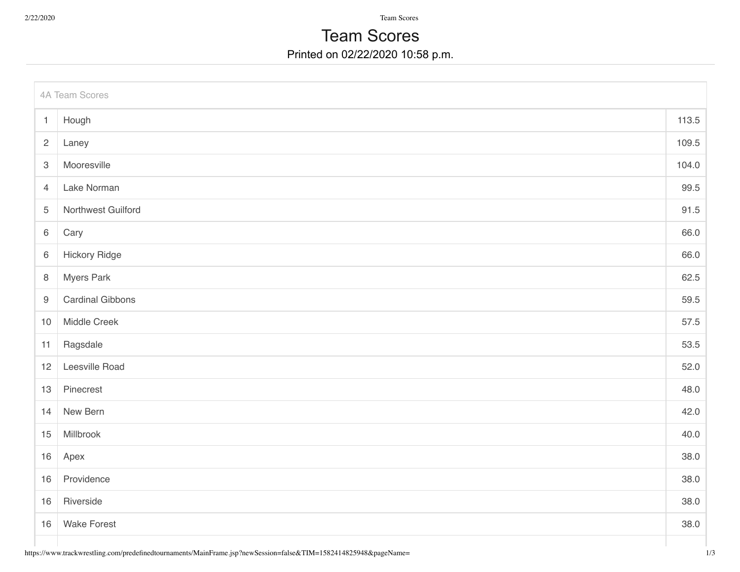2/22/2020 Team Scores

## Printed on 02/22/2020 10:58 p.m. Team Scores

| 4A Team Scores            |                         |       |  |
|---------------------------|-------------------------|-------|--|
| $\mathbf{1}$              | Hough                   | 113.5 |  |
| $\mathbf{2}$              | Laney                   | 109.5 |  |
| $\ensuremath{\mathsf{3}}$ | Mooresville             | 104.0 |  |
| $\overline{4}$            | Lake Norman             | 99.5  |  |
| $\sqrt{5}$                | Northwest Guilford      | 91.5  |  |
| $\,6\,$                   | Cary                    | 66.0  |  |
| $\,6\,$                   | <b>Hickory Ridge</b>    | 66.0  |  |
| $\,8\,$                   | <b>Myers Park</b>       | 62.5  |  |
| $9$                       | <b>Cardinal Gibbons</b> | 59.5  |  |
| $10$                      | Middle Creek            | 57.5  |  |
| 11                        | Ragsdale                | 53.5  |  |
| 12                        | Leesville Road          | 52.0  |  |
| 13                        | Pinecrest               | 48.0  |  |
| 14                        | New Bern                | 42.0  |  |
| 15                        | Millbrook               | 40.0  |  |
| 16                        | Apex                    | 38.0  |  |
| 16                        | Providence              | 38.0  |  |
| 16                        | Riverside               | 38.0  |  |
| 16                        | <b>Wake Forest</b>      | 38.0  |  |
|                           |                         |       |  |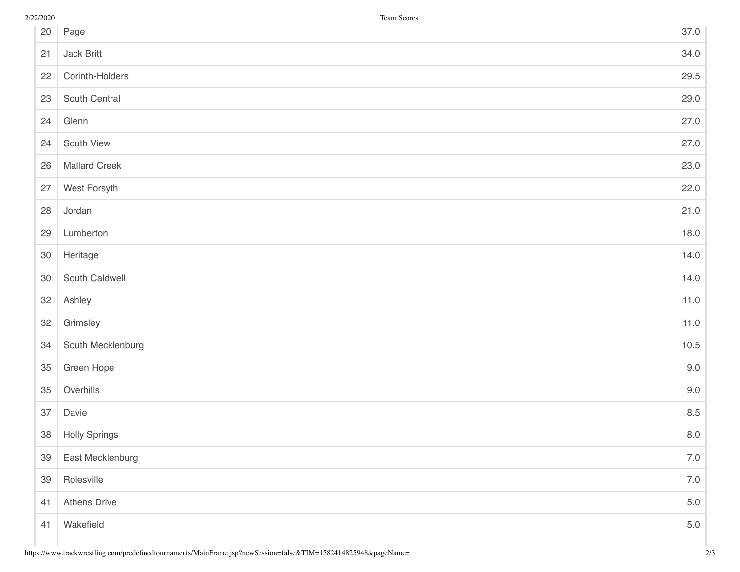| 20 | Page                 | 37.0    |
|----|----------------------|---------|
| 21 | Jack Britt           | 34.0    |
| 22 | Corinth-Holders      | 29.5    |
| 23 | South Central        | 29.0    |
| 24 | Glenn                | 27.0    |
| 24 | South View           | 27.0    |
| 26 | <b>Mallard Creek</b> | 23.0    |
| 27 | West Forsyth         | 22.0    |
| 28 | Jordan               | 21.0    |
| 29 | Lumberton            | 18.0    |
| 30 | Heritage             | 14.0    |
| 30 | South Caldwell       | 14.0    |
| 32 | Ashley               | 11.0    |
| 32 | Grimsley             | 11.0    |
| 34 | South Mecklenburg    | 10.5    |
| 35 | Green Hope           | 9.0     |
| 35 | Overhills            | 9.0     |
| 37 | Davie                | 8.5     |
| 38 | <b>Holly Springs</b> | $8.0\,$ |
| 39 | East Mecklenburg     | $7.0\,$ |
| 39 | Rolesville           | $7.0\,$ |
| 41 | <b>Athens Drive</b>  | $5.0\,$ |
| 41 | Wakefield            | $5.0\,$ |
|    |                      |         |